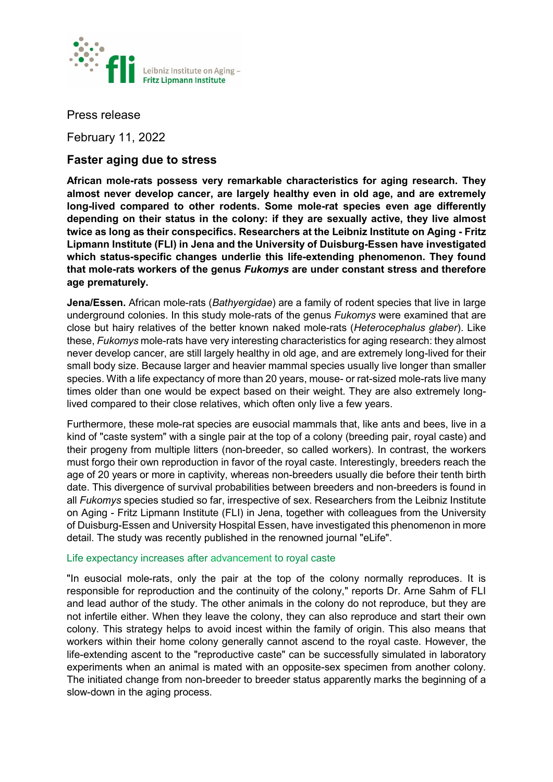

Press release

February 11, 2022

# **Faster aging due to stress**

**African mole-rats possess very remarkable characteristics for aging research. They almost never develop cancer, are largely healthy even in old age, and are extremely long-lived compared to other rodents. Some mole-rat species even age differently depending on their status in the colony: if they are sexually active, they live almost twice as long as their conspecifics. Researchers at the Leibniz Institute on Aging - Fritz Lipmann Institute (FLI) in Jena and the University of Duisburg-Essen have investigated which status-specific changes underlie this life-extending phenomenon. They found that mole-rats workers of the genus** *Fukomys* **are under constant stress and therefore age prematurely.** 

**Jena/Essen.** African mole-rats (*Bathyergidae*) are a family of rodent species that live in large underground colonies. In this study mole-rats of the genus *Fukomys* were examined that are close but hairy relatives of the better known naked mole-rats (*Heterocephalus glaber*). Like these, *Fukomys* mole-rats have very interesting characteristics for aging research: they almost never develop cancer, are still largely healthy in old age, and are extremely long-lived for their small body size. Because larger and heavier mammal species usually live longer than smaller species. With a life expectancy of more than 20 years, mouse- or rat-sized mole-rats live many times older than one would be expect based on their weight. They are also extremely longlived compared to their close relatives, which often only live a few years.

Furthermore, these mole-rat species are eusocial mammals that, like ants and bees, live in a kind of "caste system" with a single pair at the top of a colony (breeding pair, royal caste) and their progeny from multiple litters (non-breeder, so called workers). In contrast, the workers must forgo their own reproduction in favor of the royal caste. Interestingly, breeders reach the age of 20 years or more in captivity, whereas non-breeders usually die before their tenth birth date. This divergence of survival probabilities between breeders and non-breeders is found in all *Fukomys* species studied so far, irrespective of sex. Researchers from the Leibniz Institute on Aging - Fritz Lipmann Institute (FLI) in Jena, together with colleagues from the University of Duisburg-Essen and University Hospital Essen, have investigated this phenomenon in more detail. The study was recently published in the renowned journal "eLife".

# Life expectancy increases after advancement to royal caste

"In eusocial mole-rats, only the pair at the top of the colony normally reproduces. It is responsible for reproduction and the continuity of the colony," reports Dr. Arne Sahm of FLI and lead author of the study. The other animals in the colony do not reproduce, but they are not infertile either. When they leave the colony, they can also reproduce and start their own colony. This strategy helps to avoid incest within the family of origin. This also means that workers within their home colony generally cannot ascend to the royal caste. However, the life-extending ascent to the "reproductive caste" can be successfully simulated in laboratory experiments when an animal is mated with an opposite-sex specimen from another colony. The initiated change from non-breeder to breeder status apparently marks the beginning of a slow-down in the aging process.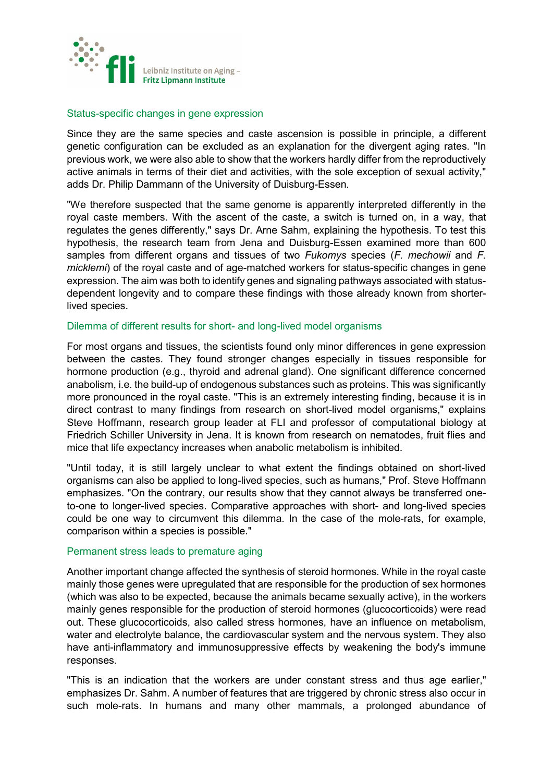

#### Status-specific changes in gene expression

Since they are the same species and caste ascension is possible in principle, a different genetic configuration can be excluded as an explanation for the divergent aging rates. "In previous work, we were also able to show that the workers hardly differ from the reproductively active animals in terms of their diet and activities, with the sole exception of sexual activity," adds Dr. Philip Dammann of the University of Duisburg-Essen.

"We therefore suspected that the same genome is apparently interpreted differently in the royal caste members. With the ascent of the caste, a switch is turned on, in a way, that regulates the genes differently," says Dr. Arne Sahm, explaining the hypothesis. To test this hypothesis, the research team from Jena and Duisburg-Essen examined more than 600 samples from different organs and tissues of two *Fukomys* species (*F. mechowii* and *F. micklemi*) of the royal caste and of age-matched workers for status-specific changes in gene expression. The aim was both to identify genes and signaling pathways associated with statusdependent longevity and to compare these findings with those already known from shorterlived species.

## Dilemma of different results for short- and long-lived model organisms

For most organs and tissues, the scientists found only minor differences in gene expression between the castes. They found stronger changes especially in tissues responsible for hormone production (e.g., thyroid and adrenal gland). One significant difference concerned anabolism, i.e. the build-up of endogenous substances such as proteins. This was significantly more pronounced in the royal caste. "This is an extremely interesting finding, because it is in direct contrast to many findings from research on short-lived model organisms," explains Steve Hoffmann, research group leader at FLI and professor of computational biology at Friedrich Schiller University in Jena. It is known from research on nematodes, fruit flies and mice that life expectancy increases when anabolic metabolism is inhibited.

"Until today, it is still largely unclear to what extent the findings obtained on short-lived organisms can also be applied to long-lived species, such as humans," Prof. Steve Hoffmann emphasizes. "On the contrary, our results show that they cannot always be transferred oneto-one to longer-lived species. Comparative approaches with short- and long-lived species could be one way to circumvent this dilemma. In the case of the mole-rats, for example, comparison within a species is possible."

# Permanent stress leads to premature aging

Another important change affected the synthesis of steroid hormones. While in the royal caste mainly those genes were upregulated that are responsible for the production of sex hormones (which was also to be expected, because the animals became sexually active), in the workers mainly genes responsible for the production of steroid hormones (glucocorticoids) were read out. These glucocorticoids, also called stress hormones, have an influence on metabolism, water and electrolyte balance, the cardiovascular system and the nervous system. They also have anti-inflammatory and immunosuppressive effects by weakening the body's immune responses.

"This is an indication that the workers are under constant stress and thus age earlier," emphasizes Dr. Sahm. A number of features that are triggered by chronic stress also occur in such mole-rats. In humans and many other mammals, a prolonged abundance of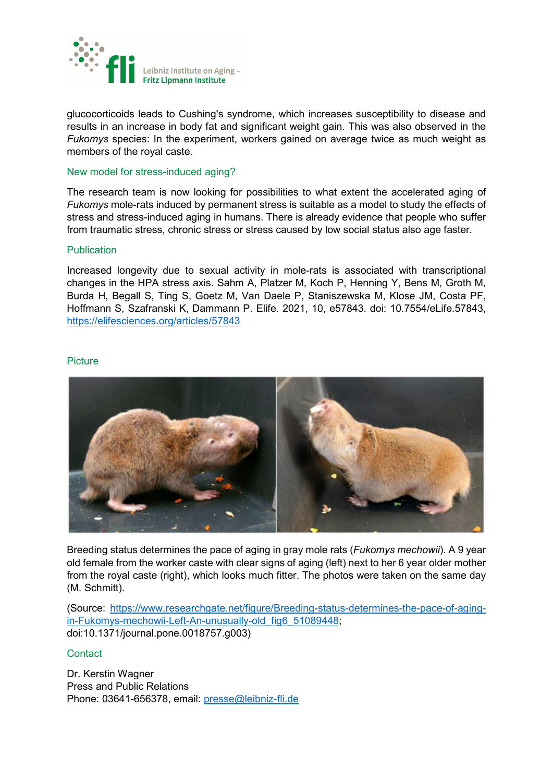

glucocorticoids leads to Cushing's syndrome, which increases susceptibility to disease and results in an increase in body fat and significant weight gain. This was also observed in the *Fukomys* species: In the experiment, workers gained on average twice as much weight as members of the royal caste.

#### New model for stress-induced aging?

The research team is now looking for possibilities to what extent the accelerated aging of *Fukomys* mole-rats induced by permanent stress is suitable as a model to study the effects of stress and stress-induced aging in humans. There is already evidence that people who suffer from traumatic stress, chronic stress or stress caused by low social status also age faster.

## Publication

Increased longevity due to sexual activity in mole-rats is associated with transcriptional changes in the HPA stress axis. Sahm A, Platzer M, Koch P, Henning Y, Bens M, Groth M, Burda H, Begall S, Ting S, Goetz M, Van Daele P, Staniszewska M, Klose JM, Costa PF, Hoffmann S, Szafranski K, Dammann P. Elife. 2021, 10, e57843. doi: 10.7554/eLife.57843, <https://elifesciences.org/articles/57843>

#### **Picture**



Breeding status determines the pace of aging in gray mole rats (*Fukomys mechowii*). A 9 year old female from the worker caste with clear signs of aging (left) next to her 6 year older mother from the royal caste (right), which looks much fitter. The photos were taken on the same day (M. Schmitt).

(Source: [https://www.researchgate.net/figure/Breeding-status-determines-the-pace-of-aging](https://www.researchgate.net/figure/Breeding-status-determines-the-pace-of-aging-in-Fukomys-mechowii-Left-An-unusually-old_fig6_51089448)[in-Fukomys-mechowii-Left-An-unusually-old\\_fig6\\_51089448;](https://www.researchgate.net/figure/Breeding-status-determines-the-pace-of-aging-in-Fukomys-mechowii-Left-An-unusually-old_fig6_51089448) doi:10.1371/journal.pone.0018757.g003)

# **Contact**

Dr. Kerstin Wagner Press and Public Relations Phone: 03641-656378, email: [presse@leibniz-fli.de](mailto:presse@leibniz-fli.de)